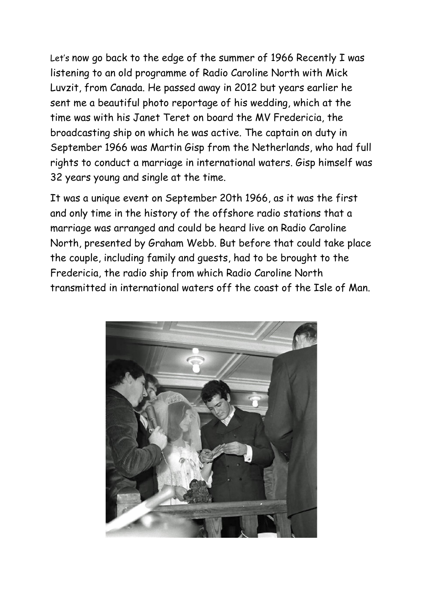Let's now go back to the edge of the summer of 1966 Recently I was listening to an old programme of Radio Caroline North with Mick Luvzit, from Canada. He passed away in 2012 but years earlier he sent me a beautiful photo reportage of his wedding, which at the time was with his Janet Teret on board the MV Fredericia, the broadcasting ship on which he was active. The captain on duty in September 1966 was Martin Gisp from the Netherlands, who had full rights to conduct a marriage in international waters. Gisp himself was 32 years young and single at the time.

It was a unique event on September 20th 1966, as it was the first and only time in the history of the offshore radio stations that a marriage was arranged and could be heard live on Radio Caroline North, presented by Graham Webb. But before that could take place the couple, including family and guests, had to be brought to the Fredericia, the radio ship from which Radio Caroline North transmitted in international waters off the coast of the Isle of Man.

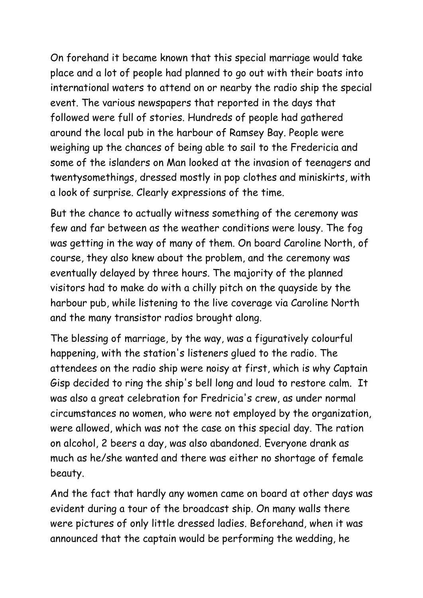On forehand it became known that this special marriage would take place and a lot of people had planned to go out with their boats into international waters to attend on or nearby the radio ship the special event. The various newspapers that reported in the days that followed were full of stories. Hundreds of people had gathered around the local pub in the harbour of Ramsey Bay. People were weighing up the chances of being able to sail to the Fredericia and some of the islanders on Man looked at the invasion of teenagers and twentysomethings, dressed mostly in pop clothes and miniskirts, with a look of surprise. Clearly expressions of the time.

But the chance to actually witness something of the ceremony was few and far between as the weather conditions were lousy. The fog was getting in the way of many of them. On board Caroline North, of course, they also knew about the problem, and the ceremony was eventually delayed by three hours. The majority of the planned visitors had to make do with a chilly pitch on the quayside by the harbour pub, while listening to the live coverage via Caroline North and the many transistor radios brought along.

The blessing of marriage, by the way, was a figuratively colourful happening, with the station's listeners glued to the radio. The attendees on the radio ship were noisy at first, which is why Captain Gisp decided to ring the ship's bell long and loud to restore calm. It was also a great celebration for Fredricia's crew, as under normal circumstances no women, who were not employed by the organization, were allowed, which was not the case on this special day. The ration on alcohol, 2 beers a day, was also abandoned. Everyone drank as much as he/she wanted and there was either no shortage of female beauty.

And the fact that hardly any women came on board at other days was evident during a tour of the broadcast ship. On many walls there were pictures of only little dressed ladies. Beforehand, when it was announced that the captain would be performing the wedding, he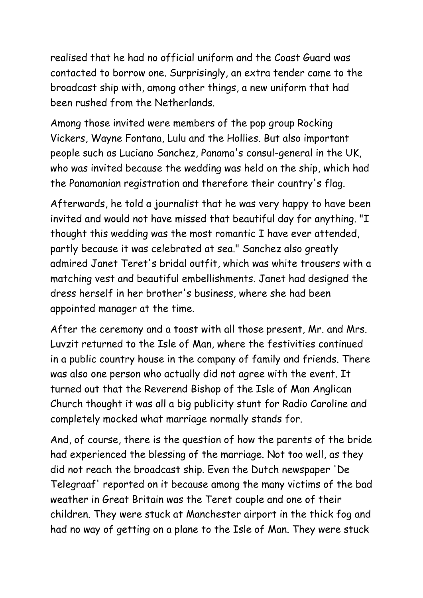realised that he had no official uniform and the Coast Guard was contacted to borrow one. Surprisingly, an extra tender came to the broadcast ship with, among other things, a new uniform that had been rushed from the Netherlands.

Among those invited were members of the pop group Rocking Vickers, Wayne Fontana, Lulu and the Hollies. But also important people such as Luciano Sanchez, Panama's consul-general in the UK, who was invited because the wedding was held on the ship, which had the Panamanian registration and therefore their country's flag.

Afterwards, he told a journalist that he was very happy to have been invited and would not have missed that beautiful day for anything. "I thought this wedding was the most romantic I have ever attended, partly because it was celebrated at sea." Sanchez also greatly admired Janet Teret's bridal outfit, which was white trousers with a matching vest and beautiful embellishments. Janet had designed the dress herself in her brother's business, where she had been appointed manager at the time.

After the ceremony and a toast with all those present, Mr. and Mrs. Luvzit returned to the Isle of Man, where the festivities continued in a public country house in the company of family and friends. There was also one person who actually did not agree with the event. It turned out that the Reverend Bishop of the Isle of Man Anglican Church thought it was all a big publicity stunt for Radio Caroline and completely mocked what marriage normally stands for.

And, of course, there is the question of how the parents of the bride had experienced the blessing of the marriage. Not too well, as they did not reach the broadcast ship. Even the Dutch newspaper 'De Telegraaf' reported on it because among the many victims of the bad weather in Great Britain was the Teret couple and one of their children. They were stuck at Manchester airport in the thick fog and had no way of getting on a plane to the Isle of Man. They were stuck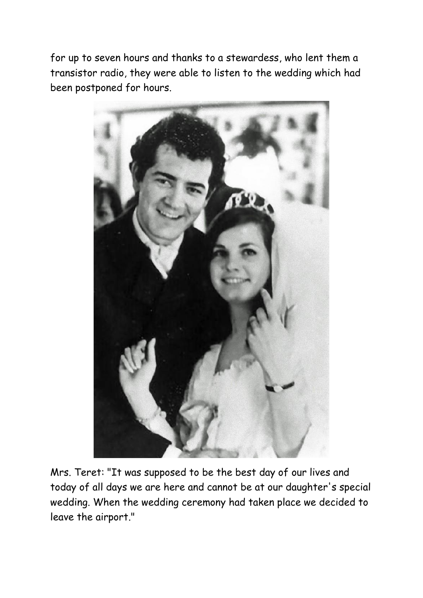for up to seven hours and thanks to a stewardess, who lent them a transistor radio, they were able to listen to the wedding which had been postponed for hours.



Mrs. Teret: "It was supposed to be the best day of our lives and today of all days we are here and cannot be at our daughter's special wedding. When the wedding ceremony had taken place we decided to leave the airport."